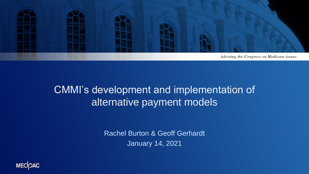

### CMMI's development and implementation of alternative payment models

Rachel Burton & Geoff Gerhardt January 14, 2021

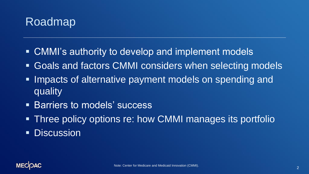

- CMMI's authority to develop and implement models
- Goals and factors CMMI considers when selecting models
- **. Impacts of alternative payment models on spending and** quality
- **Earriers to models' success**
- **Three policy options re: how CMMI manages its portfolio**
- **Discussion**

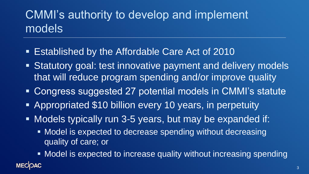# CMMI's authority to develop and implement models

- **Established by the Affordable Care Act of 2010**
- **EXTERNIFY Statutory goal: test innovative payment and delivery models** that will reduce program spending and/or improve quality
- Congress suggested 27 potential models in CMMI's statute
- Appropriated \$10 billion every 10 years, in perpetuity
- Models typically run 3-5 years, but may be expanded if:
	- Model is expected to decrease spending without decreasing quality of care; or
	- Model is expected to increase quality without increasing spending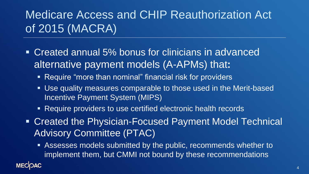# Medicare Access and CHIP Reauthorization Act of 2015 (MACRA)

- Created annual 5% bonus for clinicians in advanced alternative payment models (A-APMs) that**:**
	- Require "more than nominal" financial risk for providers
	- Use quality measures comparable to those used in the Merit-based Incentive Payment System (MIPS)
	- Require providers to use certified electronic health records
- Created the Physician-Focused Payment Model Technical Advisory Committee (PTAC)
	- Assesses models submitted by the public, recommends whether to implement them, but CMMI not bound by these recommendations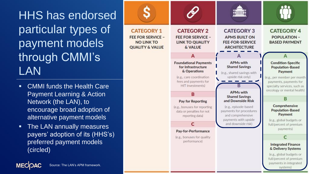HHS has endorsed particular types of payment models through CMMI's LAN

- CMMI funds the Health Care Payment Learning & Action Network (the LAN), to encourage broad adoption of alternative payment models
- **The LAN annually measures** payers' adoption of its (HHS's) preferred payment models (circled)



**MECOAC**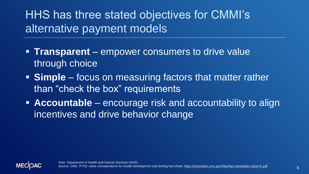## HHS has three stated objectives for CMMI's alternative payment models

- **Transparent** empower consumers to drive value through choice
- **EXTE Simple** focus on measuring factors that matter rather than "check the box" requirements
- **EXP** Accountable encourage risk and accountability to align incentives and drive behavior change

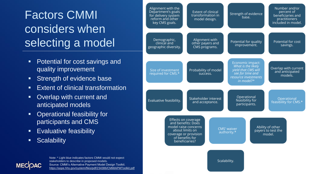# Factors CMMI considers when selecting a model

- Potential for cost savings and quality improvement
- Strength of evidence base
- Extent of clinical transformation
- Overlap with current and anticipated models
- Operational feasibility for participants and CMS
- **Evaluative feasibility**
- Scalability





Note: \* Light blue indicates factors CMMI would not expect stakeholders to describe in proposed models. Source: CMMI's Alternative Payment Model Design Toolkit. <https://aspe.hhs.gov/system/files/pdf/234386/CMMIAPMToolkit.pdf>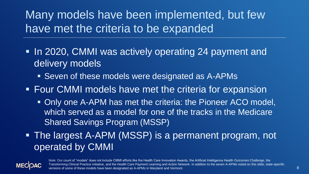Many models have been implemented, but few have met the criteria to be expanded

- In 2020, CMMI was actively operating 24 payment and delivery models
	- Seven of these models were designated as A-APMs
- **EXECT CMMI models have met the criteria for expansion** 
	- **Only one A-APM has met the criteria: the Pioneer ACO model,** which served as a model for one of the tracks in the Medicare Shared Savings Program (MSSP)
- **The largest A-APM (MSSP) is a permanent program, not** operated by CMMI



Note: Our count of "models" does not include CMMI efforts like the Health Care Innovation Awards, the Artificial Intelligence Health Outcomes Challenge, the Transforming Clinical Practice Initiative, and the Health Care Payment Learning and Action Network. In addition to the seven A-APMs noted on this slide, state-specific versions of some of these models have been designated as A-APMs in Maryland and Vermont.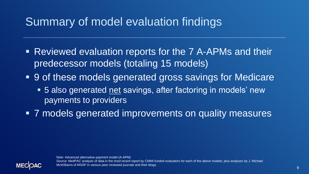# Summary of model evaluation findings

- Reviewed evaluation reports for the 7 A-APMs and their predecessor models (totaling 15 models)
- **9 of these models generated gross savings for Medicare** 
	- 5 also generated net savings, after factoring in models' new payments to providers
- 7 models generated improvements on quality measures

Note: Advanced alternative payment model (A-APM)



Source: MedPAC analysis of data in the most recent report by CMMI-funded evaluators for each of the above models, plus analyses by J. Michael McWilliams of MSSP in various peer-reviewed journals and their blogs.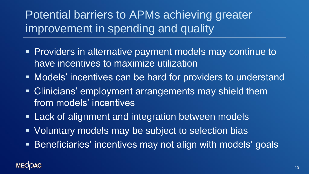Potential barriers to APMs achieving greater improvement in spending and quality

- Providers in alternative payment models may continue to have incentives to maximize utilization
- Models' incentives can be hard for providers to understand
- Clinicians' employment arrangements may shield them from models' incentives
- **EXA)** Lack of alignment and integration between models
- Voluntary models may be subject to selection bias
- **EXE** Beneficiaries' incentives may not align with models' goals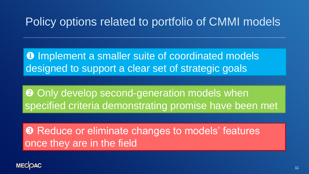## Policy options related to portfolio of CMMI models

**O** Implement a smaller suite of coordinated models designed to support a clear set of strategic goals

**<sup>2</sup>** Only develop second-generation models when specified criteria demonstrating promise have been met

**8 Reduce or eliminate changes to models' features** once they are in the field

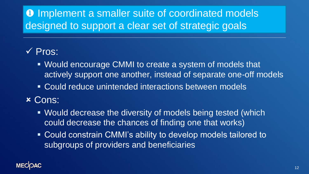### **O** Implement a smaller suite of coordinated models designed to support a clear set of strategic goals

#### ✓ Pros:

- Would encourage CMMI to create a system of models that actively support one another, instead of separate one-off models
- Could reduce unintended interactions between models

#### **x Cons:**

- Would decrease the diversity of models being tested (which could decrease the chances of finding one that works)
- Could constrain CMMI's ability to develop models tailored to subgroups of providers and beneficiaries

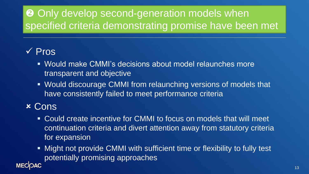### **<sup>2</sup>** Only develop second-generation models when specified criteria demonstrating promise have been met

#### ✓ Pros

- Would make CMMI's decisions about model relaunches more transparent and objective
- **EXECUTE CONORGIST WAS EXECUTE CONORGIST CONORGIST CONORGIST EXAMPLE THE WALE CONORGIST CONORGIST CONORGIST CON** have consistently failed to meet performance criteria

#### Cons

**MECIOAC** 

- Could create incentive for CMMI to focus on models that will meet continuation criteria and divert attention away from statutory criteria for expansion
- Might not provide CMMI with sufficient time or flexibility to fully test potentially promising approaches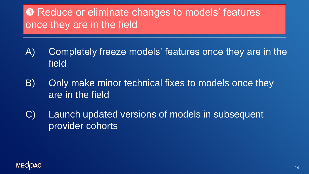### **8** Reduce or eliminate changes to models' features once they are in the field

- A) Completely freeze models' features once they are in the field
- B) Only make minor technical fixes to models once they are in the field
- C) Launch updated versions of models in subsequent provider cohorts

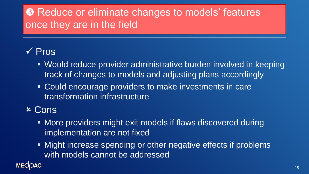### **8** Reduce or eliminate changes to models' features once they are in the field

#### ✓ Pros

- Would reduce provider administrative burden involved in keeping track of changes to models and adjusting plans accordingly
- Could encourage providers to make investments in care transformation infrastructure

#### **x Cons**

- More providers might exit models if flaws discovered during implementation are not fixed
- Might increase spending or other negative effects if problems with models cannot be addressed